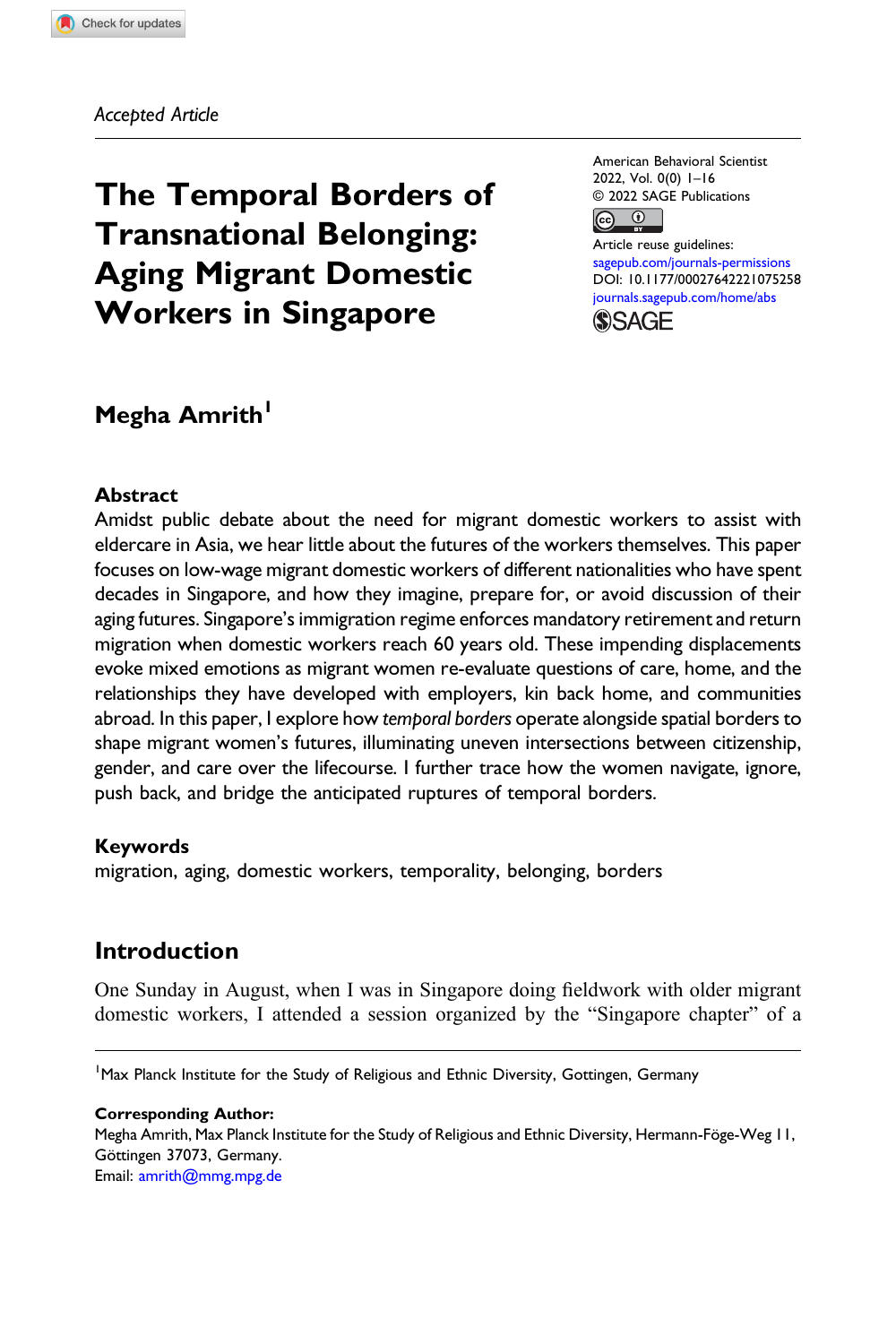Accepted Article

# The Temporal Borders of Transnational Belonging: Aging Migrant Domestic Workers in Singapore

American Behavioral Scientist 2022, Vol. 0(0) 1–16 © 2022 SAGE Publications  $\boxed{6}$ 

Article reuse guidelines: [sagepub.com/journals-permissions](https://us.sagepub.com/en-us/journals-permissions) DOI: [10.1177/00027642221075258](https://doi.org/10.1177/00027642221075258) [journals.sagepub.com/home/abs](https://journals.sagepub.com/home/abs)

**SSAGE** 

## Megha Amrith<sup>1</sup>

#### Abstract

Amidst public debate about the need for migrant domestic workers to assist with eldercare in Asia, we hear little about the futures of the workers themselves. This paper focuses on low-wage migrant domestic workers of different nationalities who have spent decades in Singapore, and how they imagine, prepare for, or avoid discussion of their aging futures. Singapore's immigration regime enforces mandatory retirement and return migration when domestic workers reach 60 years old. These impending displacements evoke mixed emotions as migrant women re-evaluate questions of care, home, and the relationships they have developed with employers, kin back home, and communities abroad. In this paper, I explore how temporal borders operate alongside spatial borders to shape migrant women's futures, illuminating uneven intersections between citizenship, gender, and care over the lifecourse. I further trace how the women navigate, ignore, push back, and bridge the anticipated ruptures of temporal borders.

#### Keywords

migration, aging, domestic workers, temporality, belonging, borders

## Introduction

One Sunday in August, when I was in Singapore doing fieldwork with older migrant domestic workers, I attended a session organized by the "Singapore chapter" of a

<sup>1</sup> Max Planck Institute for the Study of Religious and Ethnic Diversity, Gottingen, Germany

#### Corresponding Author:

Megha Amrith, Max Planck Institute for the Study of Religious and Ethnic Diversity, Hermann-Föge-Weg 11, Göttingen 37073, Germany. Email: [amrith@mmg.mpg.de](mailto:amrith@mmg.mpg.de)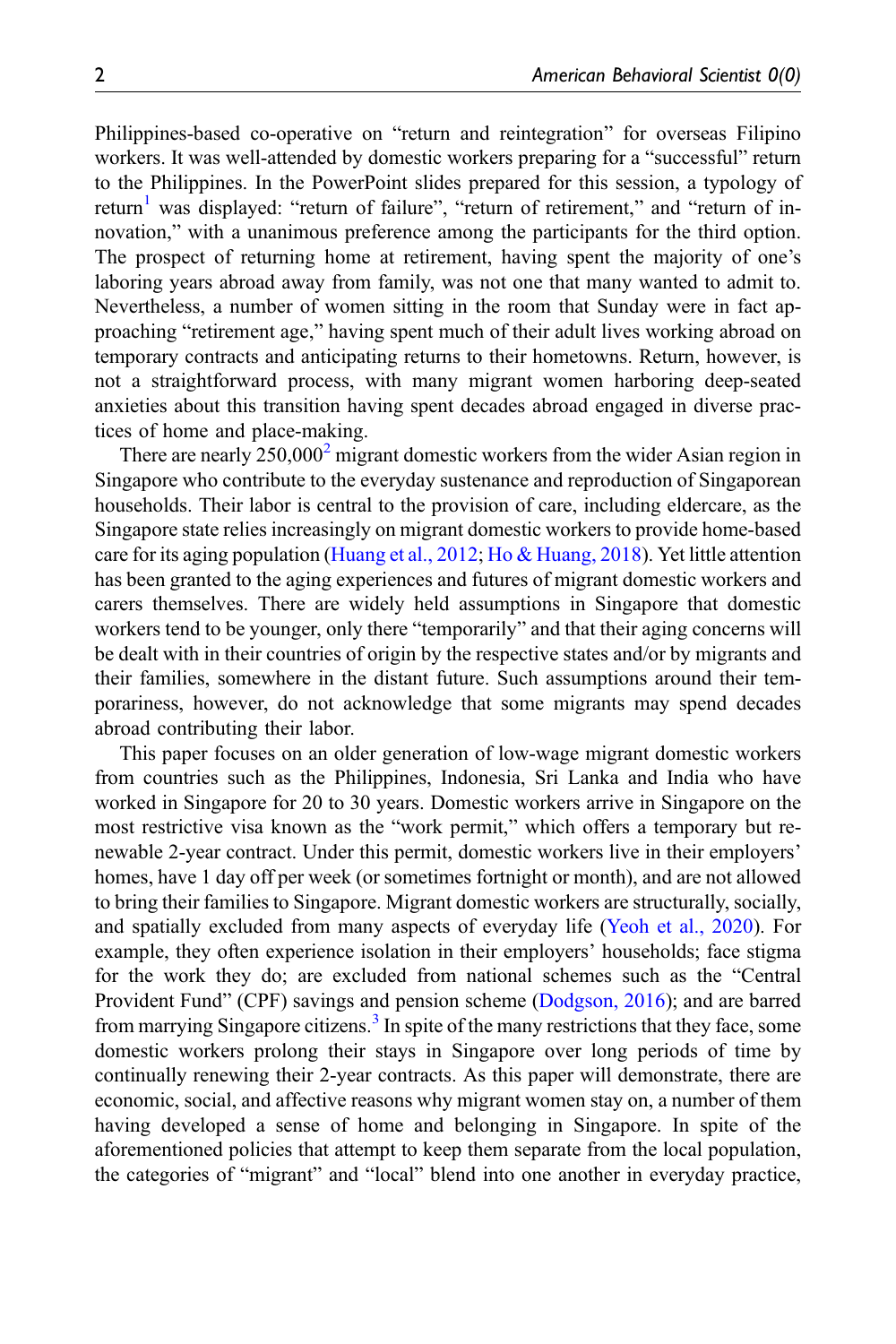Philippines-based co-operative on "return and reintegration" for overseas Filipino workers. It was well-attended by domestic workers preparing for a "successful" return to the Philippines. In the PowerPoint slides prepared for this session, a typology of return<sup>[1](#page-13-0)</sup> was displayed: "return of failure", "return of retirement," and "return of innovation," with a unanimous preference among the participants for the third option. The prospect of returning home at retirement, having spent the majority of one's laboring years abroad away from family, was not one that many wanted to admit to. Nevertheless, a number of women sitting in the room that Sunday were in fact approaching "retirement age," having spent much of their adult lives working abroad on temporary contracts and anticipating returns to their hometowns. Return, however, is not a straightforward process, with many migrant women harboring deep-seated anxieties about this transition having spent decades abroad engaged in diverse practices of home and place-making.

There are nearly  $250,000^2$  $250,000^2$  migrant domestic workers from the wider Asian region in Singapore who contribute to the everyday sustenance and reproduction of Singaporean households. Their labor is central to the provision of care, including eldercare, as the Singapore state relies increasingly on migrant domestic workers to provide home-based care for its aging population [\(Huang et al., 2012;](#page-14-0) [Ho & Huang, 2018](#page-14-1)). Yet little attention has been granted to the aging experiences and futures of migrant domestic workers and carers themselves. There are widely held assumptions in Singapore that domestic workers tend to be younger, only there "temporarily" and that their aging concerns will be dealt with in their countries of origin by the respective states and/or by migrants and their families, somewhere in the distant future. Such assumptions around their temporariness, however, do not acknowledge that some migrants may spend decades abroad contributing their labor.

This paper focuses on an older generation of low-wage migrant domestic workers from countries such as the Philippines, Indonesia, Sri Lanka and India who have worked in Singapore for 20 to 30 years. Domestic workers arrive in Singapore on the most restrictive visa known as the "work permit," which offers a temporary but renewable 2-year contract. Under this permit, domestic workers live in their employers' homes, have 1 day off per week (or sometimes fortnight or month), and are not allowed to bring their families to Singapore. Migrant domestic workers are structurally, socially, and spatially excluded from many aspects of everyday life ([Yeoh et al., 2020](#page-15-0)). For example, they often experience isolation in their employers' households; face stigma for the work they do; are excluded from national schemes such as the "Central Provident Fund" (CPF) savings and pension scheme ([Dodgson, 2016\)](#page-14-2); and are barred from marrying Singapore citizens.<sup>[3](#page-13-2)</sup> In spite of the many restrictions that they face, some domestic workers prolong their stays in Singapore over long periods of time by continually renewing their 2-year contracts. As this paper will demonstrate, there are economic, social, and affective reasons why migrant women stay on, a number of them having developed a sense of home and belonging in Singapore. In spite of the aforementioned policies that attempt to keep them separate from the local population, the categories of "migrant" and "local" blend into one another in everyday practice,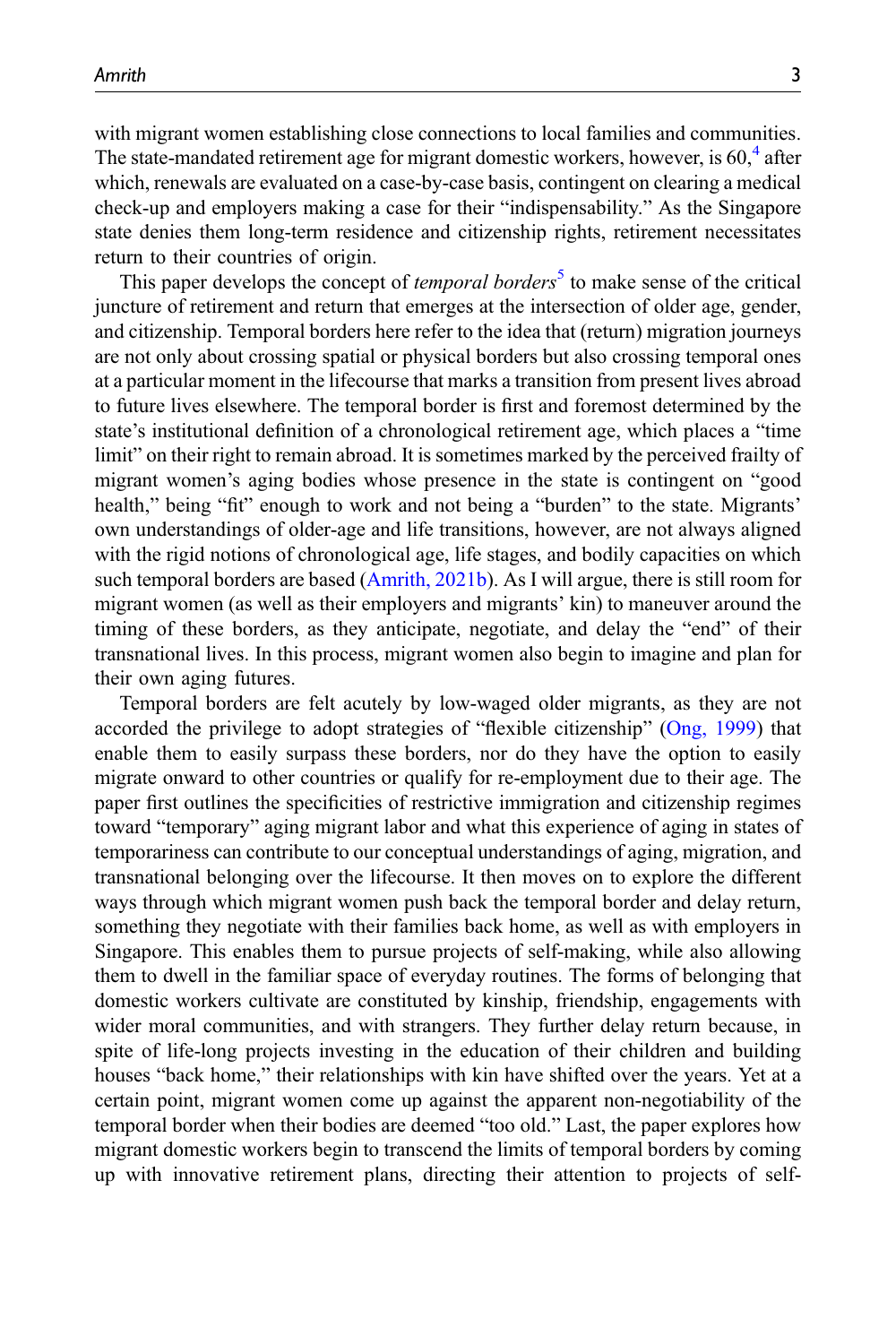with migrant women establishing close connections to local families and communities. The state-mandated retirement age for migrant domestic workers, however, is  $60<sup>4</sup>$  $60<sup>4</sup>$  $60<sup>4</sup>$  after which, renewals are evaluated on a case-by-case basis, contingent on clearing a medical check-up and employers making a case for their "indispensability." As the Singapore state denies them long-term residence and citizenship rights, retirement necessitates return to their countries of origin.

This paper develops the concept of *temporal borders*<sup>[5](#page-13-4)</sup> to make sense of the critical juncture of retirement and return that emerges at the intersection of older age, gender, and citizenship. Temporal borders here refer to the idea that (return) migration journeys are not only about crossing spatial or physical borders but also crossing temporal ones at a particular moment in the lifecourse that marks a transition from present lives abroad to future lives elsewhere. The temporal border is first and foremost determined by the state's institutional definition of a chronological retirement age, which places a "time limit" on their right to remain abroad. It is sometimes marked by the perceived frailty of migrant women's aging bodies whose presence in the state is contingent on "good health," being "fit" enough to work and not being a "burden" to the state. Migrants' own understandings of older-age and life transitions, however, are not always aligned with the rigid notions of chronological age, life stages, and bodily capacities on which such temporal borders are based ([Amrith, 2021b\)](#page-13-5). As I will argue, there is still room for migrant women (as well as their employers and migrants' kin) to maneuver around the timing of these borders, as they anticipate, negotiate, and delay the "end" of their transnational lives. In this process, migrant women also begin to imagine and plan for their own aging futures.

Temporal borders are felt acutely by low-waged older migrants, as they are not accorded the privilege to adopt strategies of "flexible citizenship" [\(Ong, 1999\)](#page-15-1) that enable them to easily surpass these borders, nor do they have the option to easily migrate onward to other countries or qualify for re-employment due to their age. The paper first outlines the specificities of restrictive immigration and citizenship regimes toward "temporary" aging migrant labor and what this experience of aging in states of temporariness can contribute to our conceptual understandings of aging, migration, and transnational belonging over the lifecourse. It then moves on to explore the different ways through which migrant women push back the temporal border and delay return, something they negotiate with their families back home, as well as with employers in Singapore. This enables them to pursue projects of self-making, while also allowing them to dwell in the familiar space of everyday routines. The forms of belonging that domestic workers cultivate are constituted by kinship, friendship, engagements with wider moral communities, and with strangers. They further delay return because, in spite of life-long projects investing in the education of their children and building houses "back home," their relationships with kin have shifted over the years. Yet at a certain point, migrant women come up against the apparent non-negotiability of the temporal border when their bodies are deemed "too old." Last, the paper explores how migrant domestic workers begin to transcend the limits of temporal borders by coming up with innovative retirement plans, directing their attention to projects of self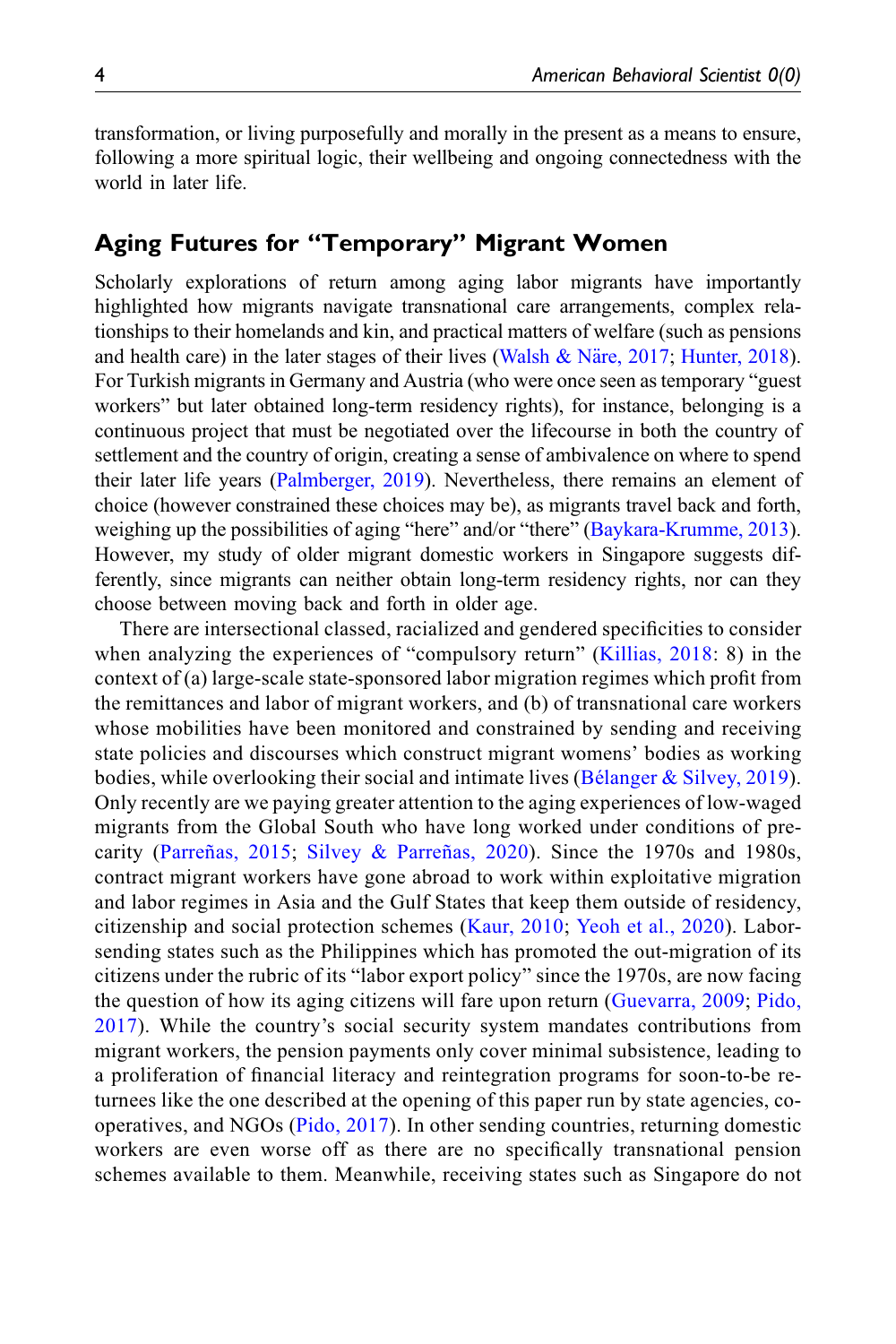transformation, or living purposefully and morally in the present as a means to ensure, following a more spiritual logic, their wellbeing and ongoing connectedness with the world in later life.

## Aging Futures for "Temporary" Migrant Women

Scholarly explorations of return among aging labor migrants have importantly highlighted how migrants navigate transnational care arrangements, complex relationships to their homelands and kin, and practical matters of welfare (such as pensions and health care) in the later stages of their lives (Walsh & Näre, 2017; [Hunter, 2018\)](#page-14-3). For Turkish migrants in Germany and Austria (who were once seen as temporary "guest workers" but later obtained long-term residency rights), for instance, belonging is a continuous project that must be negotiated over the lifecourse in both the country of settlement and the country of origin, creating a sense of ambivalence on where to spend their later life years [\(Palmberger, 2019\)](#page-15-3). Nevertheless, there remains an element of choice (however constrained these choices may be), as migrants travel back and forth, weighing up the possibilities of aging "here" and/or "there" ([Baykara-Krumme, 2013\)](#page-14-4). However, my study of older migrant domestic workers in Singapore suggests differently, since migrants can neither obtain long-term residency rights, nor can they choose between moving back and forth in older age.

There are intersectional classed, racialized and gendered specificities to consider when analyzing the experiences of "compulsory return" ([Killias, 2018:](#page-14-5) 8) in the context of (a) large-scale state-sponsored labor migration regimes which profit from the remittances and labor of migrant workers, and (b) of transnational care workers whose mobilities have been monitored and constrained by sending and receiving state policies and discourses which construct migrant womens' bodies as working bodies, while overlooking their social and intimate lives (Bélanger & Silvey, 2019). Only recently are we paying greater attention to the aging experiences of low-waged migrants from the Global South who have long worked under conditions of precarity ([Parreñas, 2015;](#page-15-4) [Silvey & Parreñas, 2020\)](#page-15-5). Since the 1970s and 1980s, contract migrant workers have gone abroad to work within exploitative migration and labor regimes in Asia and the Gulf States that keep them outside of residency, citizenship and social protection schemes ([Kaur, 2010;](#page-14-7) [Yeoh et al., 2020\)](#page-15-0). Laborsending states such as the Philippines which has promoted the out-migration of its citizens under the rubric of its "labor export policy" since the 1970s, are now facing the question of how its aging citizens will fare upon return ([Guevarra, 2009](#page-14-8); [Pido,](#page-15-6) [2017](#page-15-6)). While the country's social security system mandates contributions from migrant workers, the pension payments only cover minimal subsistence, leading to a proliferation of financial literacy and reintegration programs for soon-to-be returnees like the one described at the opening of this paper run by state agencies, cooperatives, and NGOs ([Pido, 2017\)](#page-15-6). In other sending countries, returning domestic workers are even worse off as there are no specifically transnational pension schemes available to them. Meanwhile, receiving states such as Singapore do not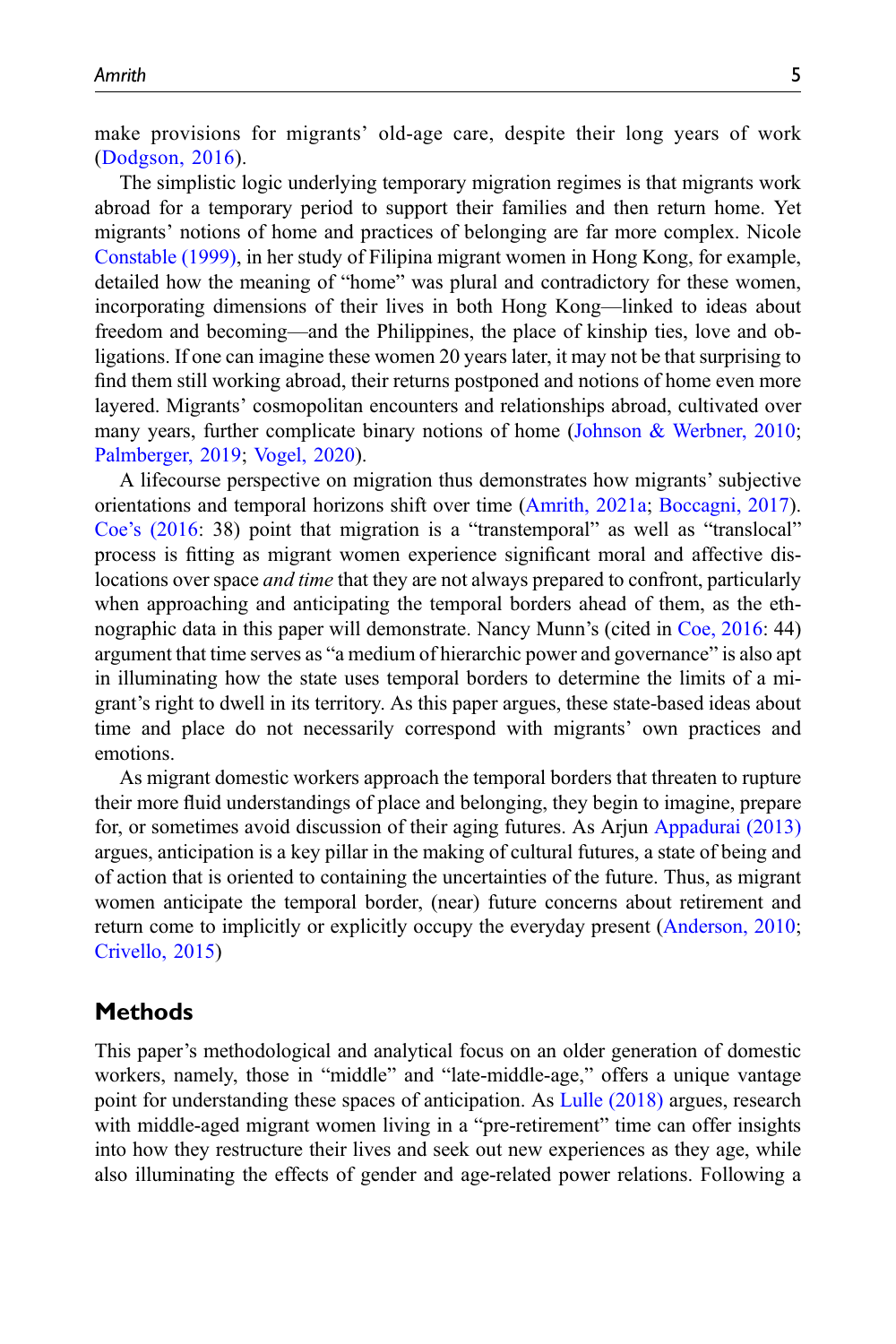make provisions for migrants' old-age care, despite their long years of work ([Dodgson, 2016](#page-14-2)).

The simplistic logic underlying temporary migration regimes is that migrants work abroad for a temporary period to support their families and then return home. Yet migrants' notions of home and practices of belonging are far more complex. Nicole [Constable \(1999\),](#page-14-9) in her study of Filipina migrant women in Hong Kong, for example, detailed how the meaning of "home" was plural and contradictory for these women, incorporating dimensions of their lives in both Hong Kong—linked to ideas about freedom and becoming—and the Philippines, the place of kinship ties, love and obligations. If one can imagine these women 20 years later, it may not be that surprising to find them still working abroad, their returns postponed and notions of home even more layered. Migrants' cosmopolitan encounters and relationships abroad, cultivated over many years, further complicate binary notions of home ([Johnson & Werbner, 2010;](#page-14-10) [Palmberger, 2019](#page-15-3); [Vogel, 2020](#page-15-7)).

A lifecourse perspective on migration thus demonstrates how migrants' subjective orientations and temporal horizons shift over time [\(Amrith, 2021a;](#page-13-6) [Boccagni, 2017\)](#page-14-11). Coe'[s \(2016:](#page-14-12) 38) point that migration is a "transtemporal" as well as "translocal" process is fitting as migrant women experience significant moral and affective dislocations over space *and time* that they are not always prepared to confront, particularly when approaching and anticipating the temporal borders ahead of them, as the ethnographic data in this paper will demonstrate. Nancy Munn's (cited in [Coe, 2016:](#page-14-12) 44) argument that time serves as "a medium of hierarchic power and governance" is also apt in illuminating how the state uses temporal borders to determine the limits of a migrant's right to dwell in its territory. As this paper argues, these state-based ideas about time and place do not necessarily correspond with migrants' own practices and emotions.

As migrant domestic workers approach the temporal borders that threaten to rupture their more fluid understandings of place and belonging, they begin to imagine, prepare for, or sometimes avoid discussion of their aging futures. As Arjun [Appadurai \(2013\)](#page-13-7) argues, anticipation is a key pillar in the making of cultural futures, a state of being and of action that is oriented to containing the uncertainties of the future. Thus, as migrant women anticipate the temporal border, (near) future concerns about retirement and return come to implicitly or explicitly occupy the everyday present ([Anderson, 2010;](#page-13-8) [Crivello, 2015\)](#page-14-13)

#### Methods

This paper's methodological and analytical focus on an older generation of domestic workers, namely, those in "middle" and "late-middle-age," offers a unique vantage point for understanding these spaces of anticipation. As [Lulle \(2018\)](#page-15-8) argues, research with middle-aged migrant women living in a "pre-retirement" time can offer insights into how they restructure their lives and seek out new experiences as they age, while also illuminating the effects of gender and age-related power relations. Following a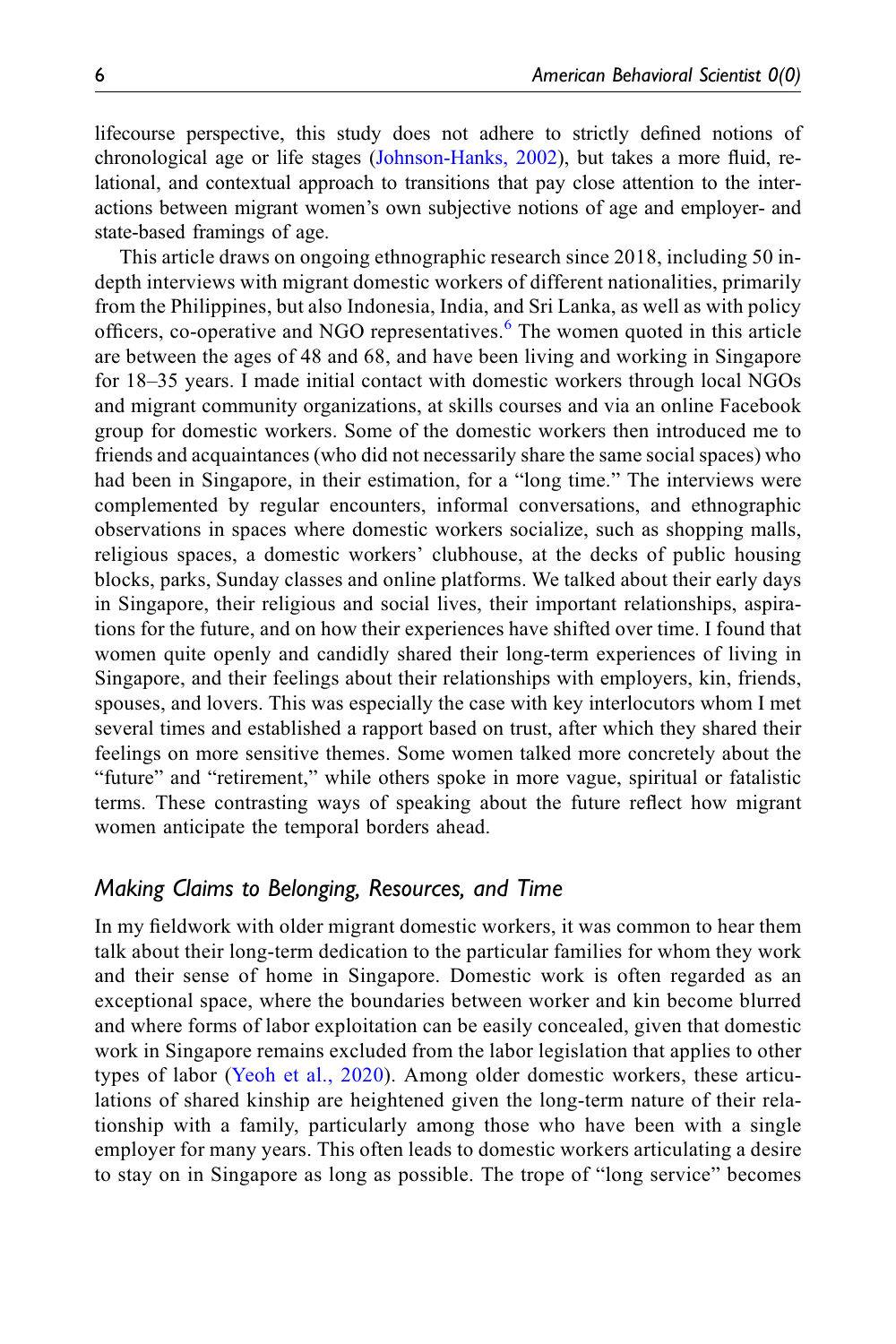lifecourse perspective, this study does not adhere to strictly defined notions of chronological age or life stages [\(Johnson-Hanks, 2002\)](#page-14-14), but takes a more fluid, relational, and contextual approach to transitions that pay close attention to the interactions between migrant women's own subjective notions of age and employer- and state-based framings of age.

This article draws on ongoing ethnographic research since 2018, including 50 indepth interviews with migrant domestic workers of different nationalities, primarily from the Philippines, but also Indonesia, India, and Sri Lanka, as well as with policy officers, co-operative and NGO representatives.<sup>[6](#page-13-9)</sup> The women quoted in this article are between the ages of 48 and 68, and have been living and working in Singapore for 18–35 years. I made initial contact with domestic workers through local NGOs and migrant community organizations, at skills courses and via an online Facebook group for domestic workers. Some of the domestic workers then introduced me to friends and acquaintances (who did not necessarily share the same social spaces) who had been in Singapore, in their estimation, for a "long time." The interviews were complemented by regular encounters, informal conversations, and ethnographic observations in spaces where domestic workers socialize, such as shopping malls, religious spaces, a domestic workers' clubhouse, at the decks of public housing blocks, parks, Sunday classes and online platforms. We talked about their early days in Singapore, their religious and social lives, their important relationships, aspirations for the future, and on how their experiences have shifted over time. I found that women quite openly and candidly shared their long-term experiences of living in Singapore, and their feelings about their relationships with employers, kin, friends, spouses, and lovers. This was especially the case with key interlocutors whom I met several times and established a rapport based on trust, after which they shared their feelings on more sensitive themes. Some women talked more concretely about the "future" and "retirement," while others spoke in more vague, spiritual or fatalistic terms. These contrasting ways of speaking about the future reflect how migrant women anticipate the temporal borders ahead.

#### Making Claims to Belonging, Resources, and Time

In my fieldwork with older migrant domestic workers, it was common to hear them talk about their long-term dedication to the particular families for whom they work and their sense of home in Singapore. Domestic work is often regarded as an exceptional space, where the boundaries between worker and kin become blurred and where forms of labor exploitation can be easily concealed, given that domestic work in Singapore remains excluded from the labor legislation that applies to other types of labor ([Yeoh et al., 2020](#page-15-0)). Among older domestic workers, these articulations of shared kinship are heightened given the long-term nature of their relationship with a family, particularly among those who have been with a single employer for many years. This often leads to domestic workers articulating a desire to stay on in Singapore as long as possible. The trope of "long service" becomes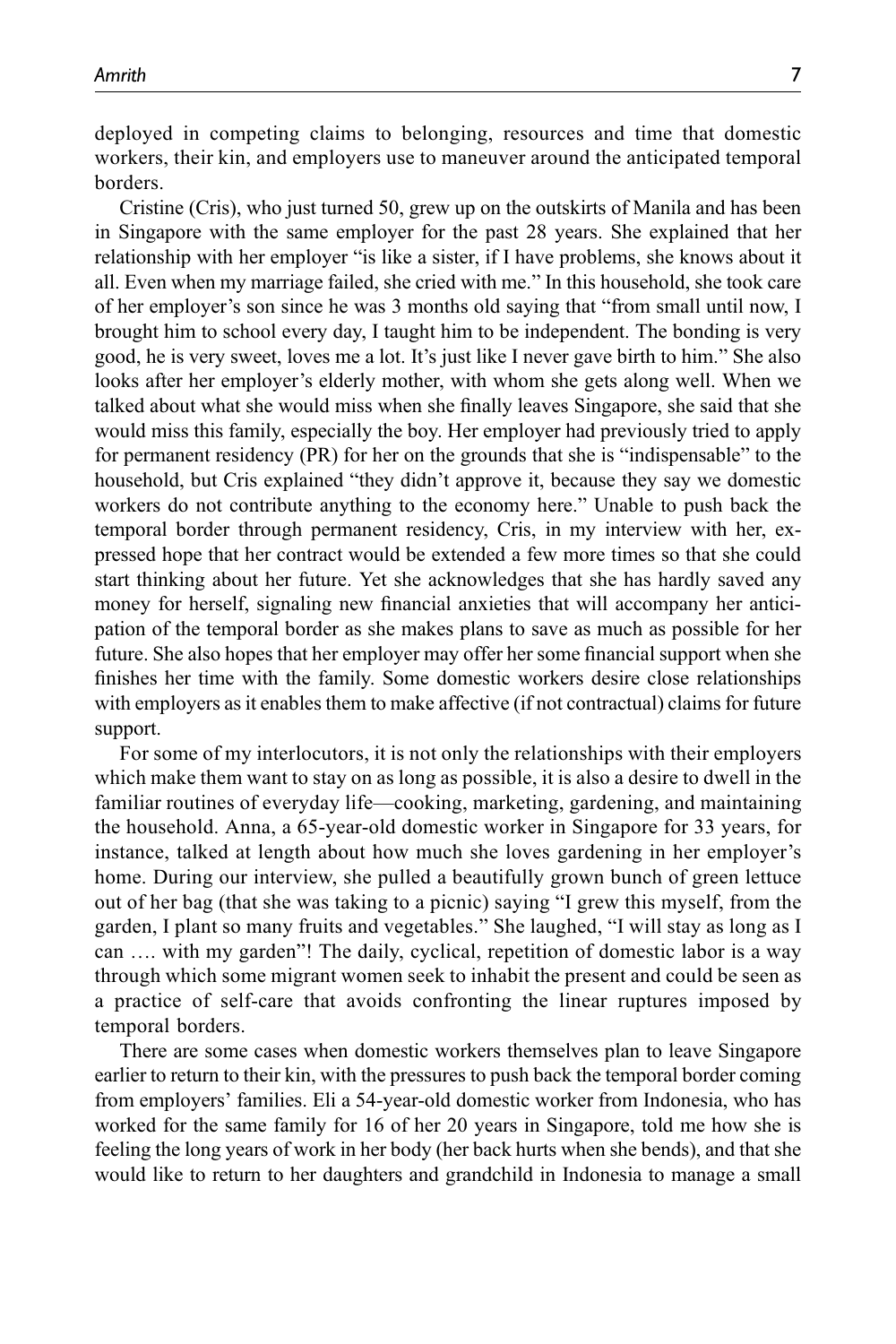deployed in competing claims to belonging, resources and time that domestic workers, their kin, and employers use to maneuver around the anticipated temporal borders.

Cristine (Cris), who just turned 50, grew up on the outskirts of Manila and has been in Singapore with the same employer for the past 28 years. She explained that her relationship with her employer "is like a sister, if I have problems, she knows about it all. Even when my marriage failed, she cried with me." In this household, she took care of her employer's son since he was 3 months old saying that "from small until now, I brought him to school every day, I taught him to be independent. The bonding is very good, he is very sweet, loves me a lot. It's just like I never gave birth to him." She also looks after her employer's elderly mother, with whom she gets along well. When we talked about what she would miss when she finally leaves Singapore, she said that she would miss this family, especially the boy. Her employer had previously tried to apply for permanent residency (PR) for her on the grounds that she is "indispensable" to the household, but Cris explained "they didn't approve it, because they say we domestic workers do not contribute anything to the economy here." Unable to push back the temporal border through permanent residency, Cris, in my interview with her, expressed hope that her contract would be extended a few more times so that she could start thinking about her future. Yet she acknowledges that she has hardly saved any money for herself, signaling new financial anxieties that will accompany her anticipation of the temporal border as she makes plans to save as much as possible for her future. She also hopes that her employer may offer her some financial support when she finishes her time with the family. Some domestic workers desire close relationships with employers as it enables them to make affective (if not contractual) claims for future support.

For some of my interlocutors, it is not only the relationships with their employers which make them want to stay on as long as possible, it is also a desire to dwell in the familiar routines of everyday life—cooking, marketing, gardening, and maintaining the household. Anna, a 65-year-old domestic worker in Singapore for 33 years, for instance, talked at length about how much she loves gardening in her employer's home. During our interview, she pulled a beautifully grown bunch of green lettuce out of her bag (that she was taking to a picnic) saying "I grew this myself, from the garden, I plant so many fruits and vegetables." She laughed, "I will stay as long as I can …. with my garden"! The daily, cyclical, repetition of domestic labor is a way through which some migrant women seek to inhabit the present and could be seen as a practice of self-care that avoids confronting the linear ruptures imposed by temporal borders.

There are some cases when domestic workers themselves plan to leave Singapore earlier to return to their kin, with the pressures to push back the temporal border coming from employers' families. Eli a 54-year-old domestic worker from Indonesia, who has worked for the same family for 16 of her 20 years in Singapore, told me how she is feeling the long years of work in her body (her back hurts when she bends), and that she would like to return to her daughters and grandchild in Indonesia to manage a small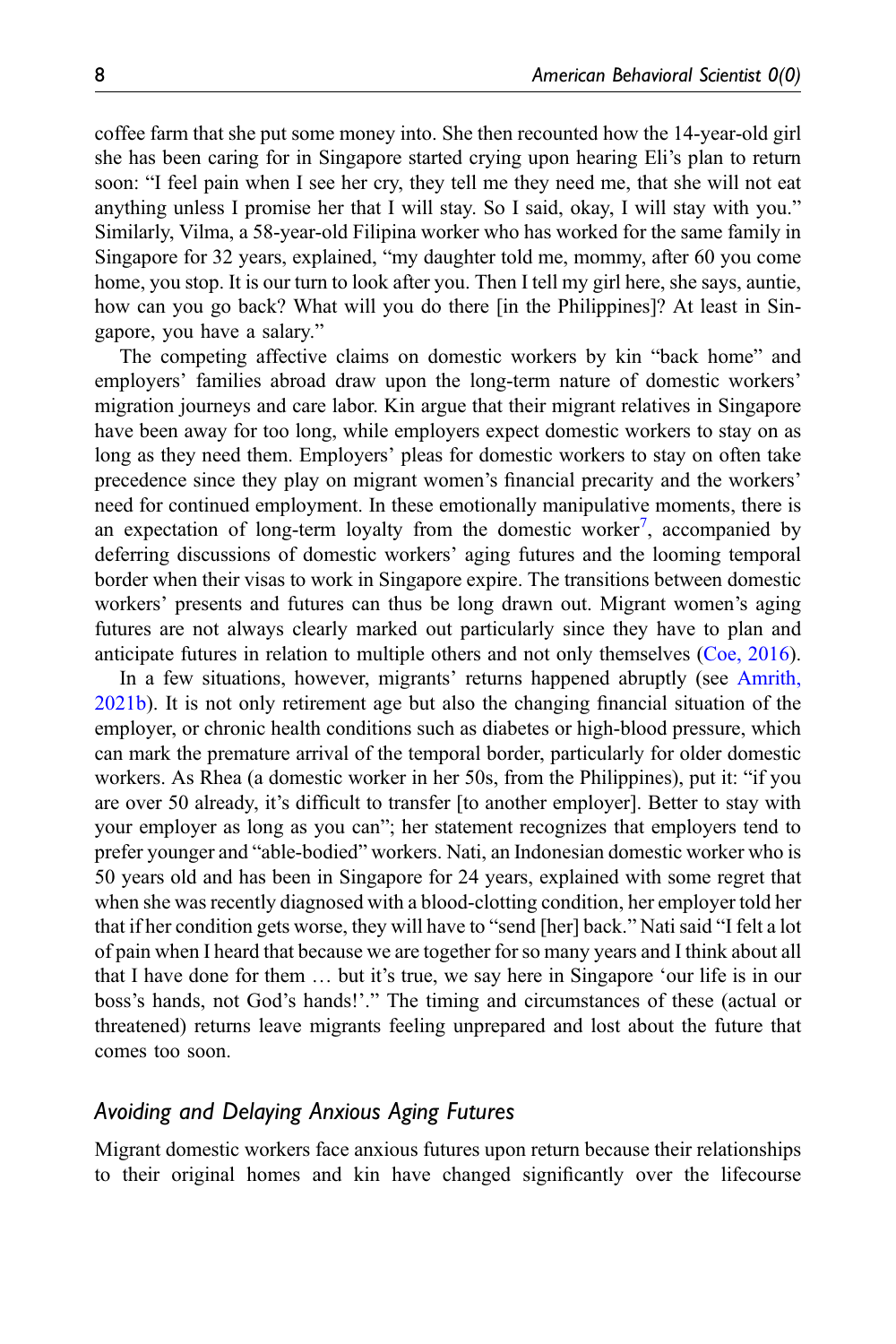coffee farm that she put some money into. She then recounted how the 14-year-old girl she has been caring for in Singapore started crying upon hearing Eli's plan to return soon: "I feel pain when I see her cry, they tell me they need me, that she will not eat anything unless I promise her that I will stay. So I said, okay, I will stay with you." Similarly, Vilma, a 58-year-old Filipina worker who has worked for the same family in Singapore for 32 years, explained, "my daughter told me, mommy, after 60 you come home, you stop. It is our turn to look after you. Then I tell my girl here, she says, auntie, how can you go back? What will you do there [in the Philippines]? At least in Singapore, you have a salary."

The competing affective claims on domestic workers by kin "back home" and employers' families abroad draw upon the long-term nature of domestic workers' migration journeys and care labor. Kin argue that their migrant relatives in Singapore have been away for too long, while employers expect domestic workers to stay on as long as they need them. Employers' pleas for domestic workers to stay on often take precedence since they play on migrant women's financial precarity and the workers' need for continued employment. In these emotionally manipulative moments, there is an expectation of long-term loyalty from the domestic worker<sup>[7](#page-13-10)</sup>, accompanied by deferring discussions of domestic workers' aging futures and the looming temporal border when their visas to work in Singapore expire. The transitions between domestic workers' presents and futures can thus be long drawn out. Migrant women's aging futures are not always clearly marked out particularly since they have to plan and anticipate futures in relation to multiple others and not only themselves [\(Coe, 2016\)](#page-14-12).

In a few situations, however, migrants' returns happened abruptly (see [Amrith,](#page-13-5) [2021b\)](#page-13-5). It is not only retirement age but also the changing financial situation of the employer, or chronic health conditions such as diabetes or high-blood pressure, which can mark the premature arrival of the temporal border, particularly for older domestic workers. As Rhea (a domestic worker in her 50s, from the Philippines), put it: "if you are over 50 already, it's difficult to transfer [to another employer]. Better to stay with your employer as long as you can"; her statement recognizes that employers tend to prefer younger and "able-bodied" workers. Nati, an Indonesian domestic worker who is 50 years old and has been in Singapore for 24 years, explained with some regret that when she was recently diagnosed with a blood-clotting condition, her employer told her that if her condition gets worse, they will have to "send [her] back." Nati said "I felt a lot of pain when I heard that because we are together for so many years and I think about all that I have done for them … but it's true, we say here in Singapore 'our life is in our boss's hands, not God's hands!'." The timing and circumstances of these (actual or threatened) returns leave migrants feeling unprepared and lost about the future that comes too soon.

### Avoiding and Delaying Anxious Aging Futures

Migrant domestic workers face anxious futures upon return because their relationships to their original homes and kin have changed significantly over the lifecourse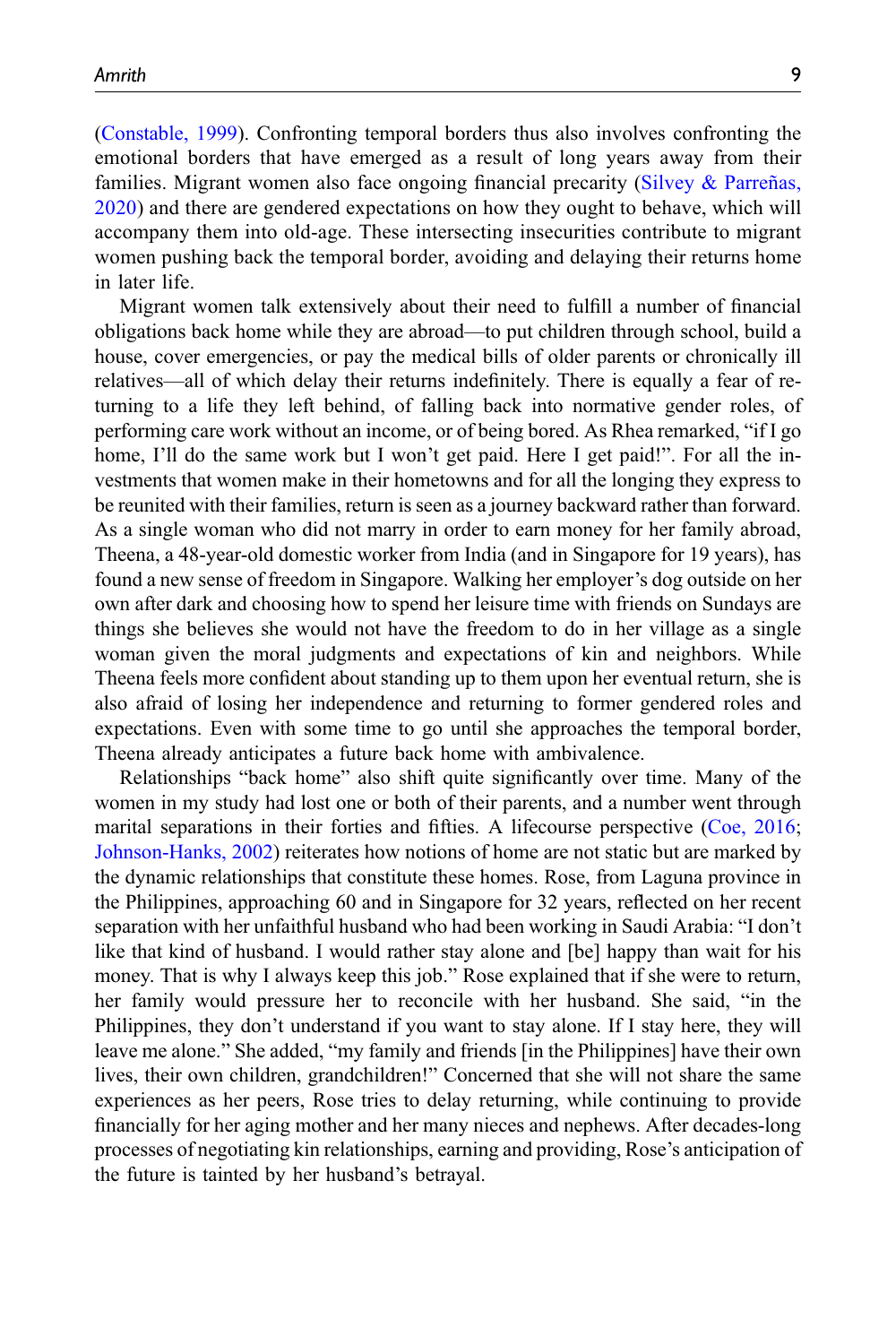([Constable, 1999\)](#page-14-9). Confronting temporal borders thus also involves confronting the emotional borders that have emerged as a result of long years away from their families. Migrant women also face ongoing financial precarity ([Silvey & Parreñas,](#page-15-5) [2020\)](#page-15-5) and there are gendered expectations on how they ought to behave, which will accompany them into old-age. These intersecting insecurities contribute to migrant women pushing back the temporal border, avoiding and delaying their returns home in later life.

Migrant women talk extensively about their need to fulfill a number of financial obligations back home while they are abroad—to put children through school, build a house, cover emergencies, or pay the medical bills of older parents or chronically ill relatives—all of which delay their returns indefinitely. There is equally a fear of returning to a life they left behind, of falling back into normative gender roles, of performing care work without an income, or of being bored. As Rhea remarked, "if I go home, I'll do the same work but I won't get paid. Here I get paid!". For all the investments that women make in their hometowns and for all the longing they express to be reunited with their families, return is seen as a journey backward rather than forward. As a single woman who did not marry in order to earn money for her family abroad, Theena, a 48-year-old domestic worker from India (and in Singapore for 19 years), has found a new sense of freedom in Singapore. Walking her employer's dog outside on her own after dark and choosing how to spend her leisure time with friends on Sundays are things she believes she would not have the freedom to do in her village as a single woman given the moral judgments and expectations of kin and neighbors. While Theena feels more confident about standing up to them upon her eventual return, she is also afraid of losing her independence and returning to former gendered roles and expectations. Even with some time to go until she approaches the temporal border, Theena already anticipates a future back home with ambivalence.

Relationships "back home" also shift quite significantly over time. Many of the women in my study had lost one or both of their parents, and a number went through marital separations in their forties and fifties. A lifecourse perspective [\(Coe, 2016;](#page-14-12) [Johnson-Hanks, 2002\)](#page-14-14) reiterates how notions of home are not static but are marked by the dynamic relationships that constitute these homes. Rose, from Laguna province in the Philippines, approaching 60 and in Singapore for 32 years, reflected on her recent separation with her unfaithful husband who had been working in Saudi Arabia: "I don't like that kind of husband. I would rather stay alone and [be] happy than wait for his money. That is why I always keep this job." Rose explained that if she were to return, her family would pressure her to reconcile with her husband. She said, "in the Philippines, they don't understand if you want to stay alone. If I stay here, they will leave me alone." She added, "my family and friends [in the Philippines] have their own lives, their own children, grandchildren!" Concerned that she will not share the same experiences as her peers, Rose tries to delay returning, while continuing to provide financially for her aging mother and her many nieces and nephews. After decades-long processes of negotiating kin relationships, earning and providing, Rose's anticipation of the future is tainted by her husband's betrayal.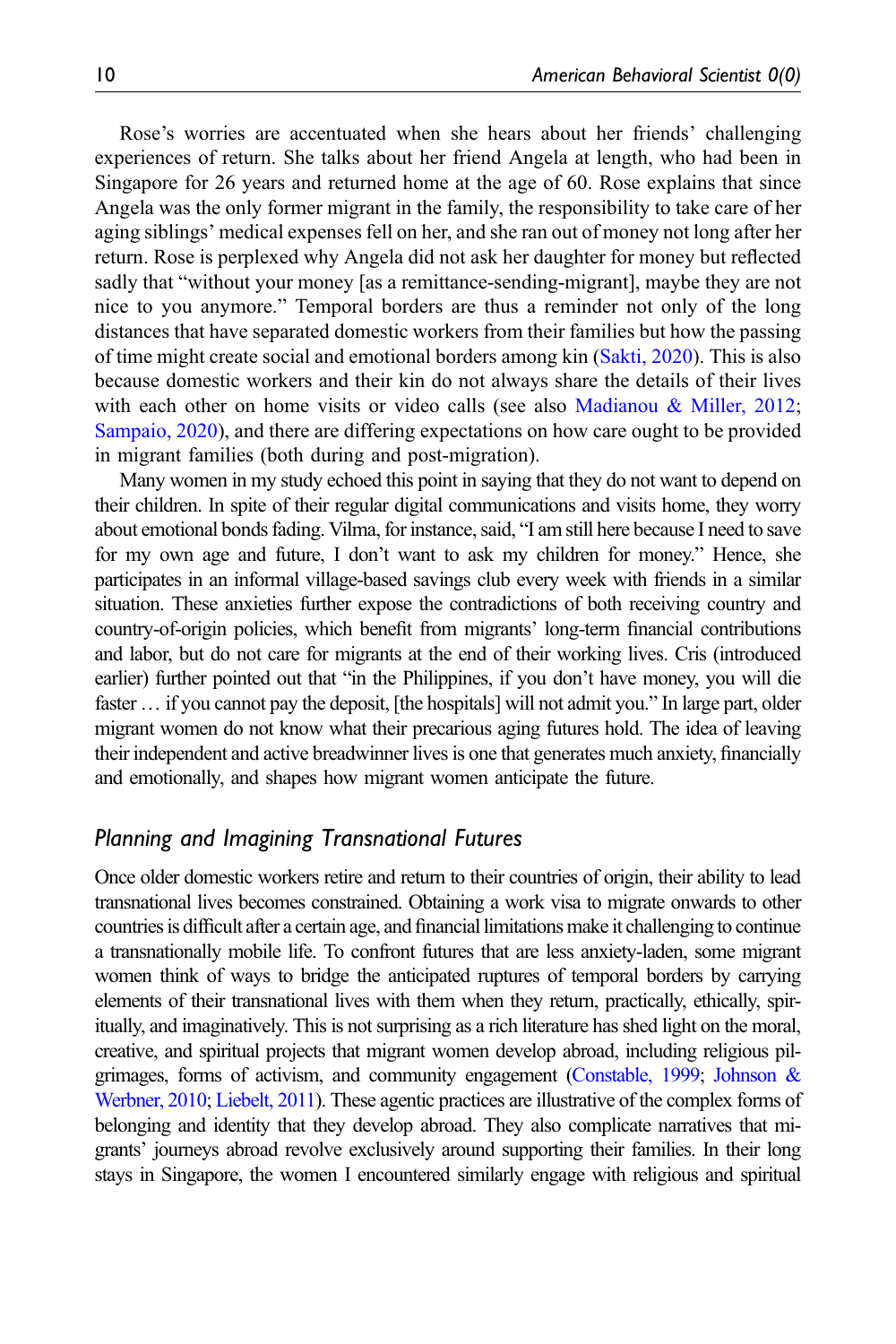Rose's worries are accentuated when she hears about her friends' challenging experiences of return. She talks about her friend Angela at length, who had been in Singapore for 26 years and returned home at the age of 60. Rose explains that since Angela was the only former migrant in the family, the responsibility to take care of her aging siblings' medical expenses fell on her, and she ran out of money not long after her return. Rose is perplexed why Angela did not ask her daughter for money but reflected sadly that "without your money [as a remittance-sending-migrant], maybe they are not nice to you anymore." Temporal borders are thus a reminder not only of the long distances that have separated domestic workers from their families but how the passing of time might create social and emotional borders among kin [\(Sakti, 2020](#page-15-9)). This is also because domestic workers and their kin do not always share the details of their lives with each other on home visits or video calls (see also [Madianou & Miller, 2012;](#page-15-10) [Sampaio, 2020\)](#page-15-11), and there are differing expectations on how care ought to be provided in migrant families (both during and post-migration).

Many women in my study echoed this point in saying that they do not want to depend on their children. In spite of their regular digital communications and visits home, they worry about emotional bonds fading. Vilma, for instance, said, "I am still here because I need to save for my own age and future, I don't want to ask my children for money." Hence, she participates in an informal village-based savings club every week with friends in a similar situation. These anxieties further expose the contradictions of both receiving country and country-of-origin policies, which benefit from migrants' long-term financial contributions and labor, but do not care for migrants at the end of their working lives. Cris (introduced earlier) further pointed out that "in the Philippines, if you don't have money, you will die faster … if you cannot pay the deposit, [the hospitals] will not admit you." In large part, older migrant women do not know what their precarious aging futures hold. The idea of leaving their independent and active breadwinner lives is one that generates much anxiety, financially and emotionally, and shapes how migrant women anticipate the future.

## Planning and Imagining Transnational Futures

Once older domestic workers retire and return to their countries of origin, their ability to lead transnational lives becomes constrained. Obtaining a work visa to migrate onwards to other countries is difficult after a certain age, and financial limitations make it challenging to continue a transnationally mobile life. To confront futures that are less anxiety-laden, some migrant women think of ways to bridge the anticipated ruptures of temporal borders by carrying elements of their transnational lives with them when they return, practically, ethically, spiritually, and imaginatively. This is not surprising as a rich literature has shed light on the moral, creative, and spiritual projects that migrant women develop abroad, including religious pilgrimages, forms of activism, and community engagement [\(Constable, 1999](#page-14-9); [Johnson &](#page-14-10) [Werbner, 2010;](#page-14-10) [Liebelt, 2011](#page-14-15)). These agentic practices are illustrative of the complex forms of belonging and identity that they develop abroad. They also complicate narratives that migrants' journeys abroad revolve exclusively around supporting their families. In their long stays in Singapore, the women I encountered similarly engage with religious and spiritual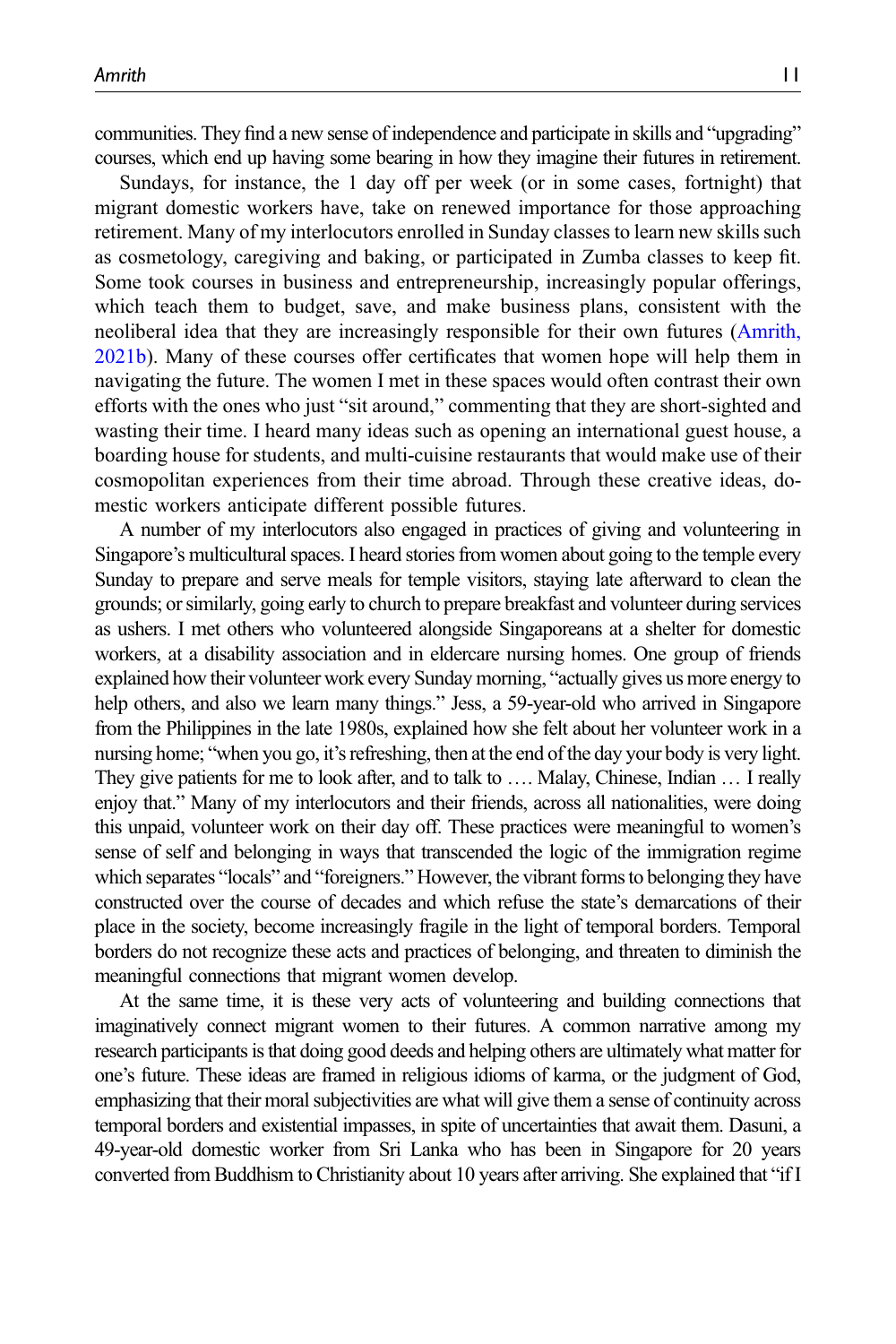communities. They find a new sense of independence and participate in skills and "upgrading" courses, which end up having some bearing in how they imagine their futures in retirement.

Sundays, for instance, the 1 day off per week (or in some cases, fortnight) that migrant domestic workers have, take on renewed importance for those approaching retirement. Many of my interlocutors enrolled in Sunday classes to learn new skills such as cosmetology, caregiving and baking, or participated in Zumba classes to keep fit. Some took courses in business and entrepreneurship, increasingly popular offerings, which teach them to budget, save, and make business plans, consistent with the neoliberal idea that they are increasingly responsible for their own futures [\(Amrith,](#page-13-5) [2021b\)](#page-13-5). Many of these courses offer certificates that women hope will help them in navigating the future. The women I met in these spaces would often contrast their own efforts with the ones who just "sit around," commenting that they are short-sighted and wasting their time. I heard many ideas such as opening an international guest house, a boarding house for students, and multi-cuisine restaurants that would make use of their cosmopolitan experiences from their time abroad. Through these creative ideas, domestic workers anticipate different possible futures.

A number of my interlocutors also engaged in practices of giving and volunteering in Singapore's multicultural spaces. I heard stories from women about going to the temple every Sunday to prepare and serve meals for temple visitors, staying late afterward to clean the grounds; or similarly, going early to church to prepare breakfast and volunteer during services as ushers. I met others who volunteered alongside Singaporeans at a shelter for domestic workers, at a disability association and in eldercare nursing homes. One group of friends explained how their volunteer work every Sunday morning, "actually gives us more energy to help others, and also we learn many things." Jess, a 59-year-old who arrived in Singapore from the Philippines in the late 1980s, explained how she felt about her volunteer work in a nursing home; "when you go, it's refreshing, then at the end of the day your body is very light. They give patients for me to look after, and to talk to …. Malay, Chinese, Indian … I really enjoy that." Many of my interlocutors and their friends, across all nationalities, were doing this unpaid, volunteer work on their day off. These practices were meaningful to women's sense of self and belonging in ways that transcended the logic of the immigration regime which separates "locals" and "foreigners." However, the vibrant forms to belonging they have constructed over the course of decades and which refuse the state's demarcations of their place in the society, become increasingly fragile in the light of temporal borders. Temporal borders do not recognize these acts and practices of belonging, and threaten to diminish the meaningful connections that migrant women develop.

At the same time, it is these very acts of volunteering and building connections that imaginatively connect migrant women to their futures. A common narrative among my research participants is that doing good deeds and helping others are ultimately what matter for one's future. These ideas are framed in religious idioms of karma, or the judgment of God, emphasizing that their moral subjectivities are what will give them a sense of continuity across temporal borders and existential impasses, in spite of uncertainties that await them. Dasuni, a 49-year-old domestic worker from Sri Lanka who has been in Singapore for 20 years converted from Buddhism to Christianity about 10 years after arriving. She explained that "if I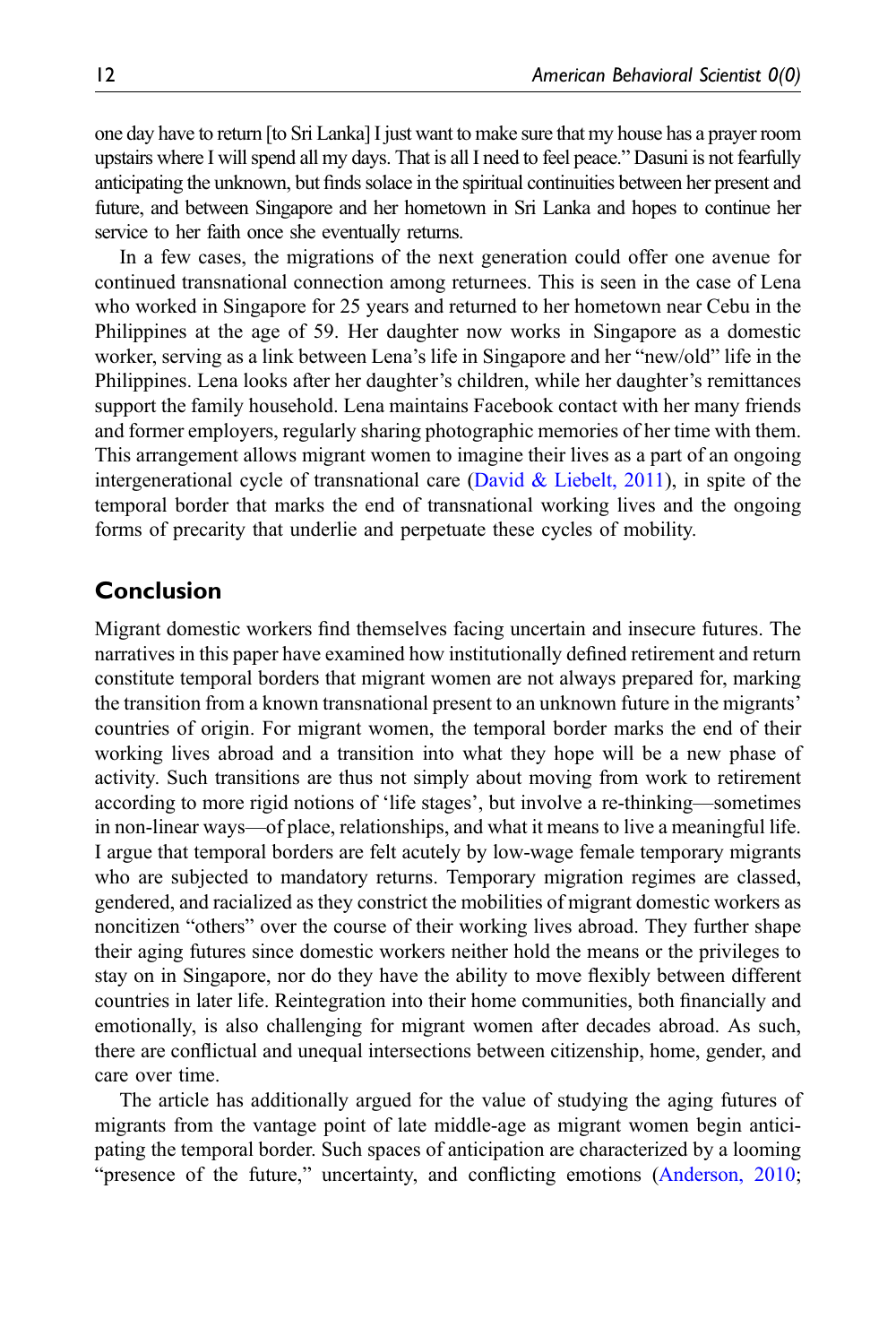one day have to return [to Sri Lanka] I just want to make sure that my house has a prayer room upstairs where I will spend all my days. That is all I need to feel peace." Dasuni is not fearfully anticipating the unknown, but finds solace in the spiritual continuities between her present and future, and between Singapore and her hometown in Sri Lanka and hopes to continue her service to her faith once she eventually returns.

In a few cases, the migrations of the next generation could offer one avenue for continued transnational connection among returnees. This is seen in the case of Lena who worked in Singapore for 25 years and returned to her hometown near Cebu in the Philippines at the age of 59. Her daughter now works in Singapore as a domestic worker, serving as a link between Lena's life in Singapore and her "new/old" life in the Philippines. Lena looks after her daughter's children, while her daughter's remittances support the family household. Lena maintains Facebook contact with her many friends and former employers, regularly sharing photographic memories of her time with them. This arrangement allows migrant women to imagine their lives as a part of an ongoing intergenerational cycle of transnational care ([David & Liebelt, 2011\)](#page-14-16), in spite of the temporal border that marks the end of transnational working lives and the ongoing forms of precarity that underlie and perpetuate these cycles of mobility.

## Conclusion

Migrant domestic workers find themselves facing uncertain and insecure futures. The narratives in this paper have examined how institutionally defined retirement and return constitute temporal borders that migrant women are not always prepared for, marking the transition from a known transnational present to an unknown future in the migrants' countries of origin. For migrant women, the temporal border marks the end of their working lives abroad and a transition into what they hope will be a new phase of activity. Such transitions are thus not simply about moving from work to retirement according to more rigid notions of 'life stages', but involve a re-thinking—sometimes in non-linear ways—of place, relationships, and what it means to live a meaningful life. I argue that temporal borders are felt acutely by low-wage female temporary migrants who are subjected to mandatory returns. Temporary migration regimes are classed, gendered, and racialized as they constrict the mobilities of migrant domestic workers as noncitizen "others" over the course of their working lives abroad. They further shape their aging futures since domestic workers neither hold the means or the privileges to stay on in Singapore, nor do they have the ability to move flexibly between different countries in later life. Reintegration into their home communities, both financially and emotionally, is also challenging for migrant women after decades abroad. As such, there are conflictual and unequal intersections between citizenship, home, gender, and care over time.

The article has additionally argued for the value of studying the aging futures of migrants from the vantage point of late middle-age as migrant women begin anticipating the temporal border. Such spaces of anticipation are characterized by a looming "presence of the future," uncertainty, and conflicting emotions ([Anderson, 2010;](#page-13-8)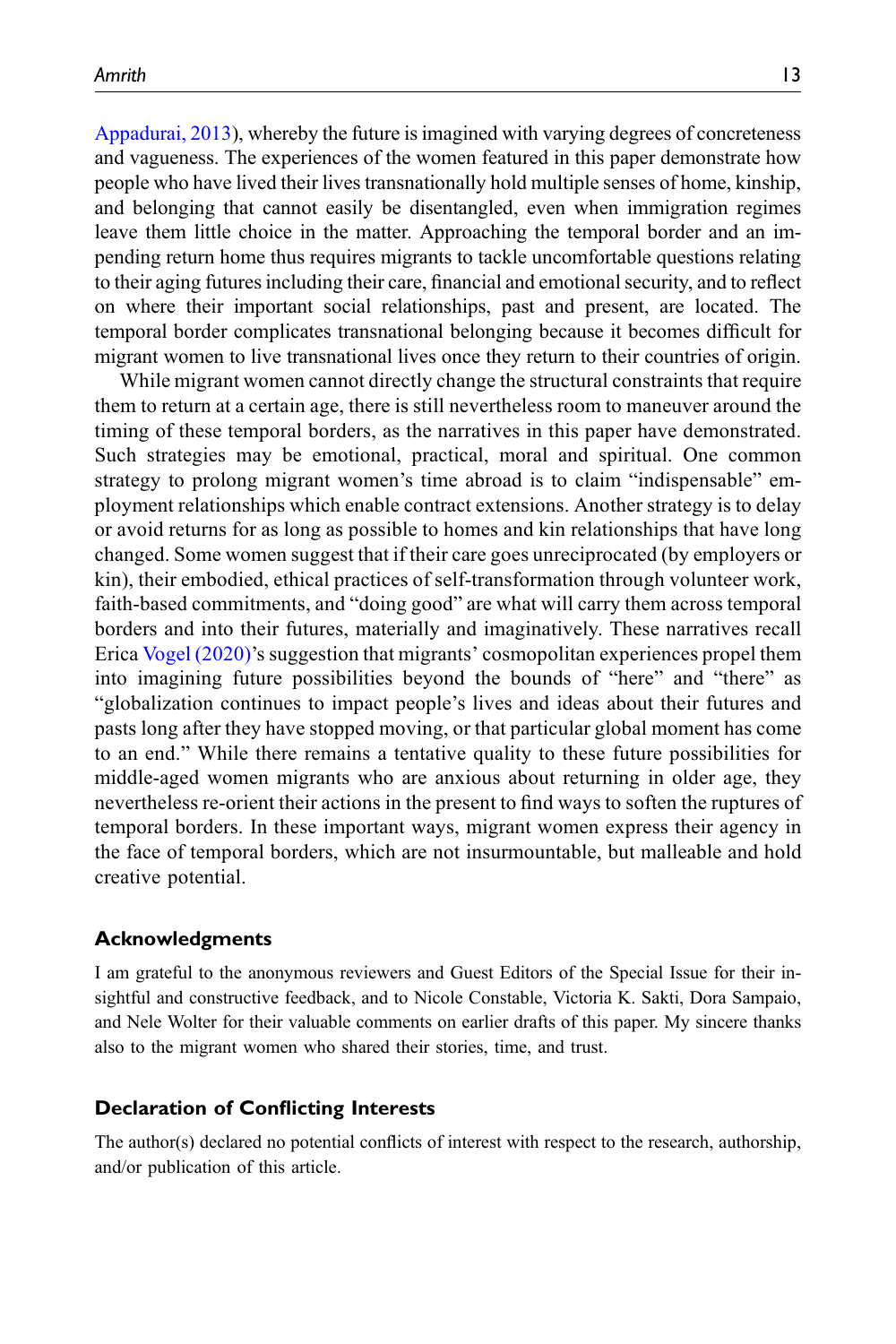[Appadurai, 2013\)](#page-13-7), whereby the future is imagined with varying degrees of concreteness and vagueness. The experiences of the women featured in this paper demonstrate how people who have lived their lives transnationally hold multiple senses of home, kinship, and belonging that cannot easily be disentangled, even when immigration regimes leave them little choice in the matter. Approaching the temporal border and an impending return home thus requires migrants to tackle uncomfortable questions relating to their aging futures including their care, financial and emotional security, and to reflect on where their important social relationships, past and present, are located. The temporal border complicates transnational belonging because it becomes difficult for migrant women to live transnational lives once they return to their countries of origin.

While migrant women cannot directly change the structural constraints that require them to return at a certain age, there is still nevertheless room to maneuver around the timing of these temporal borders, as the narratives in this paper have demonstrated. Such strategies may be emotional, practical, moral and spiritual. One common strategy to prolong migrant women's time abroad is to claim "indispensable" employment relationships which enable contract extensions. Another strategy is to delay or avoid returns for as long as possible to homes and kin relationships that have long changed. Some women suggest that if their care goes unreciprocated (by employers or kin), their embodied, ethical practices of self-transformation through volunteer work, faith-based commitments, and "doing good" are what will carry them across temporal borders and into their futures, materially and imaginatively. These narratives recall Erica [Vogel \(2020\)](#page-15-7)'s suggestion that migrants' cosmopolitan experiences propel them into imagining future possibilities beyond the bounds of "here" and "there" as "globalization continues to impact people's lives and ideas about their futures and pasts long after they have stopped moving, or that particular global moment has come to an end." While there remains a tentative quality to these future possibilities for middle-aged women migrants who are anxious about returning in older age, they nevertheless re-orient their actions in the present to find ways to soften the ruptures of temporal borders. In these important ways, migrant women express their agency in the face of temporal borders, which are not insurmountable, but malleable and hold creative potential.

#### Acknowledgments

I am grateful to the anonymous reviewers and Guest Editors of the Special Issue for their insightful and constructive feedback, and to Nicole Constable, Victoria K. Sakti, Dora Sampaio, and Nele Wolter for their valuable comments on earlier drafts of this paper. My sincere thanks also to the migrant women who shared their stories, time, and trust.

#### Declaration of Conflicting Interests

The author(s) declared no potential conflicts of interest with respect to the research, authorship, and/or publication of this article.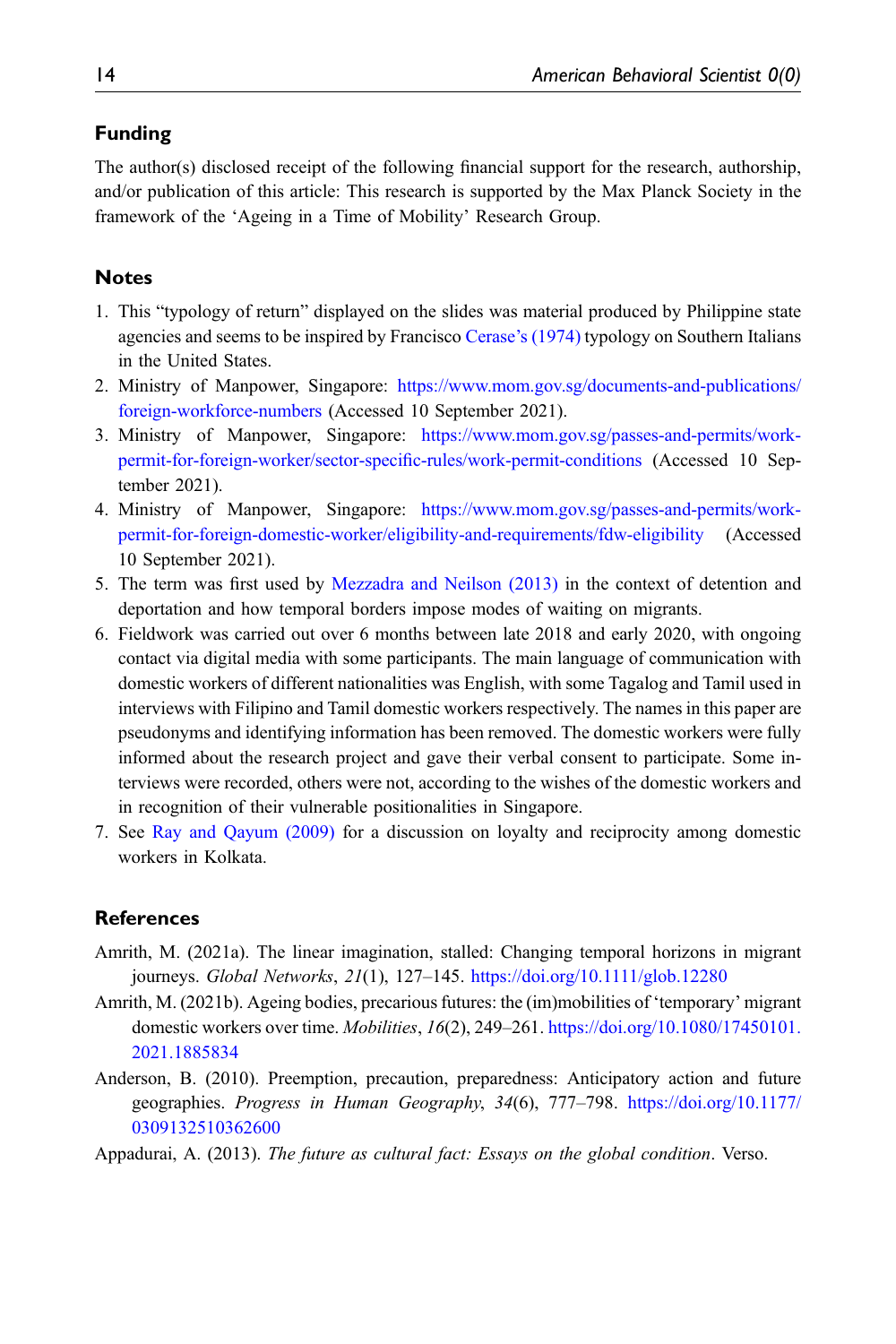#### Funding

The author(s) disclosed receipt of the following financial support for the research, authorship, and/or publication of this article: This research is supported by the Max Planck Society in the framework of the 'Ageing in a Time of Mobility' Research Group.

### <span id="page-13-0"></span>**Notes**

- 1. This "typology of return" displayed on the slides was material produced by Philippine state agencies and seems to be inspired by Francisco Cerase'[s \(1974\)](#page-14-17) typology on Southern Italians in the United States.
- <span id="page-13-1"></span>2. Ministry of Manpower, Singapore: [https://www.mom.gov.sg/documents-and-publications/](https://www.mom.gov.sg/documents-and-publications/foreign-workforce-numbers) [foreign-workforce-numbers](https://www.mom.gov.sg/documents-and-publications/foreign-workforce-numbers) (Accessed 10 September 2021).
- <span id="page-13-2"></span>3. Ministry of Manpower, Singapore: [https://www.mom.gov.sg/passes-and-permits/work](https://www.mom.gov.sg/passes-and-permits/work-permit-for-foreign-worker/sector-specific-rules/work-permit-conditions)[permit-for-foreign-worker/sector-speci](https://www.mom.gov.sg/passes-and-permits/work-permit-for-foreign-worker/sector-specific-rules/work-permit-conditions)fic-rules/work-permit-conditions (Accessed 10 September 2021).
- <span id="page-13-3"></span>4. Ministry of Manpower, Singapore: [https://www.mom.gov.sg/passes-and-permits/work](https://www.mom.gov.sg/passes-and-permits/work-permit-for-foreign-domestic-worker/eligibility-and-requirements/fdw-eligibility)[permit-for-foreign-domestic-worker/eligibility-and-requirements/fdw-eligibility](https://www.mom.gov.sg/passes-and-permits/work-permit-for-foreign-domestic-worker/eligibility-and-requirements/fdw-eligibility) (Accessed 10 September 2021).
- <span id="page-13-4"></span>5. The term was first used by [Mezzadra and Neilson \(2013\)](#page-15-12) in the context of detention and deportation and how temporal borders impose modes of waiting on migrants.
- <span id="page-13-9"></span>6. Fieldwork was carried out over 6 months between late 2018 and early 2020, with ongoing contact via digital media with some participants. The main language of communication with domestic workers of different nationalities was English, with some Tagalog and Tamil used in interviews with Filipino and Tamil domestic workers respectively. The names in this paper are pseudonyms and identifying information has been removed. The domestic workers were fully informed about the research project and gave their verbal consent to participate. Some interviews were recorded, others were not, according to the wishes of the domestic workers and in recognition of their vulnerable positionalities in Singapore.
- <span id="page-13-10"></span>7. See [Ray and Qayum \(2009\)](#page-15-13) for a discussion on loyalty and reciprocity among domestic workers in Kolkata.

#### <span id="page-13-6"></span>**References**

- <span id="page-13-5"></span>Amrith, M. (2021a). The linear imagination, stalled: Changing temporal horizons in migrant journeys. Global Networks, 21(1), 127–145. <https://doi.org/10.1111/glob.12280>
- <span id="page-13-8"></span>Amrith, M. (2021b). Ageing bodies, precarious futures: the (im)mobilities of 'temporary' migrant domestic workers over time. *Mobilities*, 16(2), 249–261. [https://doi.org/10.1080/17450101.](https://doi.org/10.1080/17450101.2021.1885834) [2021.1885834](https://doi.org/10.1080/17450101.2021.1885834)
- <span id="page-13-7"></span>Anderson, B. (2010). Preemption, precaution, preparedness: Anticipatory action and future geographies. Progress in Human Geography, 34(6), 777–798. [https://doi.org/10.1177/](https://doi.org/10.1177/0309132510362600) [0309132510362600](https://doi.org/10.1177/0309132510362600)
- Appadurai, A. (2013). The future as cultural fact: Essays on the global condition. Verso.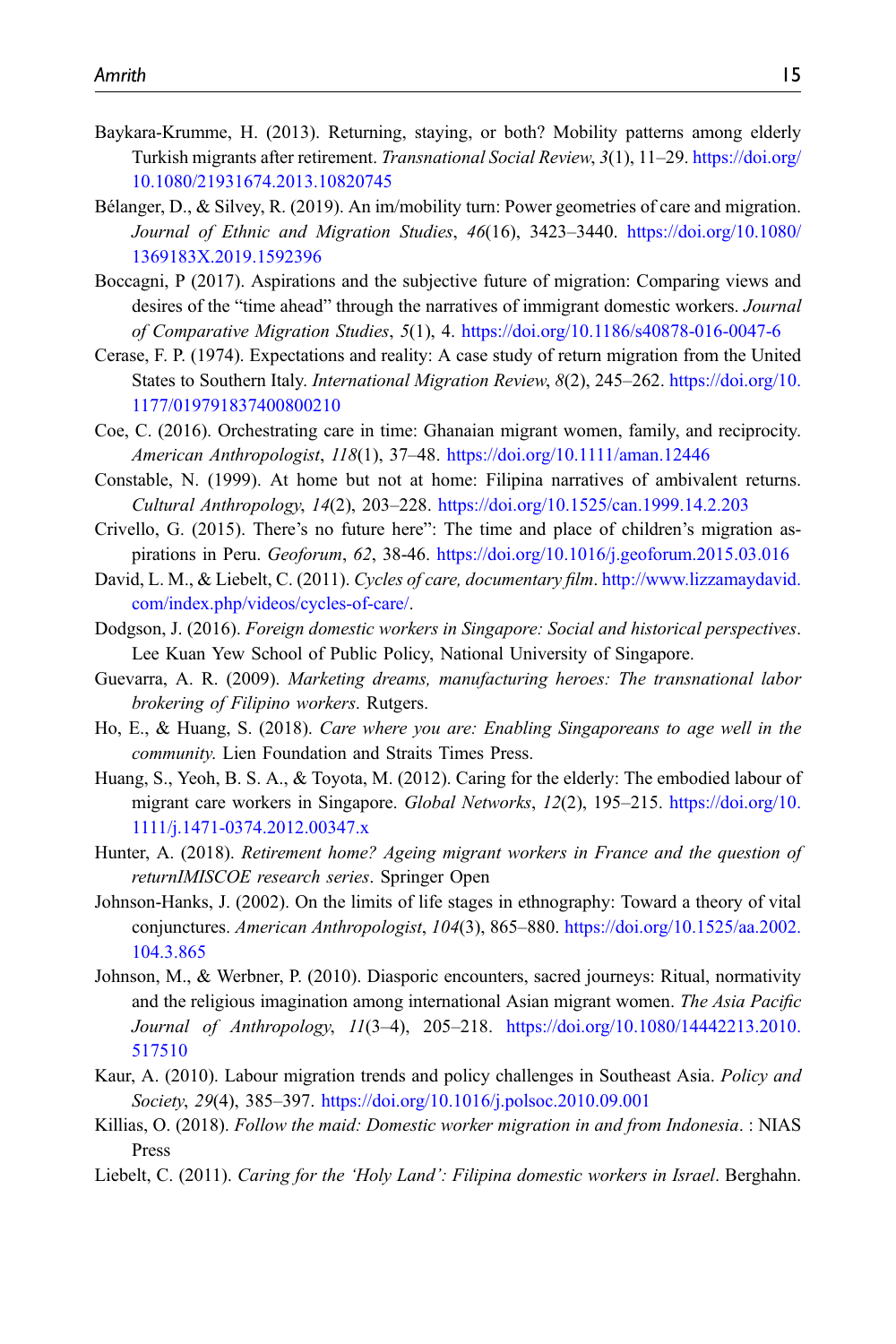- <span id="page-14-4"></span>Baykara-Krumme, H. (2013). Returning, staying, or both? Mobility patterns among elderly Turkish migrants after retirement. Transnational Social Review, 3(1), 11-29. [https://doi.org/](https://doi.org/10.1080/21931674.2013.10820745) [10.1080/21931674.2013.10820745](https://doi.org/10.1080/21931674.2013.10820745)
- <span id="page-14-6"></span>Bélanger, D., & Silvey, R. (2019). An im/mobility turn: Power geometries of care and migration. Journal of Ethnic and Migration Studies, 46(16), 3423–3440. [https://doi.org/10.1080/](https://doi.org/10.1080/1369183X.2019.1592396) [1369183X.2019.1592396](https://doi.org/10.1080/1369183X.2019.1592396)
- <span id="page-14-11"></span>Boccagni, P (2017). Aspirations and the subjective future of migration: Comparing views and desires of the "time ahead" through the narratives of immigrant domestic workers. Journal of Comparative Migration Studies, 5(1), 4. <https://doi.org/10.1186/s40878-016-0047-6>
- <span id="page-14-17"></span>Cerase, F. P. (1974). Expectations and reality: A case study of return migration from the United States to Southern Italy. International Migration Review, 8(2), 245–262. [https://doi.org/10.](https://doi.org/10.1177/019791837400800210) [1177/019791837400800210](https://doi.org/10.1177/019791837400800210)
- <span id="page-14-12"></span>Coe, C. (2016). Orchestrating care in time: Ghanaian migrant women, family, and reciprocity. American Anthropologist, 118(1), 37–48. <https://doi.org/10.1111/aman.12446>
- <span id="page-14-9"></span>Constable, N. (1999). At home but not at home: Filipina narratives of ambivalent returns. Cultural Anthropology, 14(2), 203–228. <https://doi.org/10.1525/can.1999.14.2.203>
- <span id="page-14-13"></span>Crivello, G. (2015). There's no future here": The time and place of children's migration aspirations in Peru. Geoforum, 62, 38-46. <https://doi.org/10.1016/j.geoforum.2015.03.016>
- <span id="page-14-16"></span>David, L. M., & Liebelt, C. (2011). Cycles of care, documentary film. [http://www.lizzamaydavid.](http://www.lizzamaydavid.com/index.php/videos/cycles-of-care/) [com/index.php/videos/cycles-of-care/](http://www.lizzamaydavid.com/index.php/videos/cycles-of-care/).
- <span id="page-14-2"></span>Dodgson, J. (2016). Foreign domestic workers in Singapore: Social and historical perspectives. Lee Kuan Yew School of Public Policy, National University of Singapore.
- <span id="page-14-8"></span>Guevarra, A. R. (2009). Marketing dreams, manufacturing heroes: The transnational labor brokering of Filipino workers. Rutgers.
- <span id="page-14-1"></span>Ho, E., & Huang, S. (2018). Care where you are: Enabling Singaporeans to age well in the community. Lien Foundation and Straits Times Press.
- <span id="page-14-0"></span>Huang, S., Yeoh, B. S. A., & Toyota, M. (2012). Caring for the elderly: The embodied labour of migrant care workers in Singapore. Global Networks, 12(2), 195–215. [https://doi.org/10.](https://doi.org/10.1111/j.1471-0374.2012.00347.x) [1111/j.1471-0374.2012.00347.x](https://doi.org/10.1111/j.1471-0374.2012.00347.x)
- <span id="page-14-3"></span>Hunter, A. (2018). Retirement home? Ageing migrant workers in France and the question of returnIMISCOE research series. Springer Open
- <span id="page-14-14"></span>Johnson-Hanks, J. (2002). On the limits of life stages in ethnography: Toward a theory of vital conjunctures. American Anthropologist, 104(3), 865-880. [https://doi.org/10.1525/aa.2002.](https://doi.org/10.1525/aa.2002.104.3.865) [104.3.865](https://doi.org/10.1525/aa.2002.104.3.865)
- <span id="page-14-10"></span>Johnson, M., & Werbner, P. (2010). Diasporic encounters, sacred journeys: Ritual, normativity and the religious imagination among international Asian migrant women. The Asia Pacific Journal of Anthropology, 11(3–4), 205–218. [https://doi.org/10.1080/14442213.2010.](https://doi.org/10.1080/14442213.2010.517510) [517510](https://doi.org/10.1080/14442213.2010.517510)
- <span id="page-14-7"></span>Kaur, A. (2010). Labour migration trends and policy challenges in Southeast Asia. Policy and Society, 29(4), 385–397. <https://doi.org/10.1016/j.polsoc.2010.09.001>
- <span id="page-14-5"></span>Killias, O. (2018). Follow the maid: Domestic worker migration in and from Indonesia. : NIAS Press
- <span id="page-14-15"></span>Liebelt, C. (2011). Caring for the 'Holy Land': Filipina domestic workers in Israel. Berghahn.